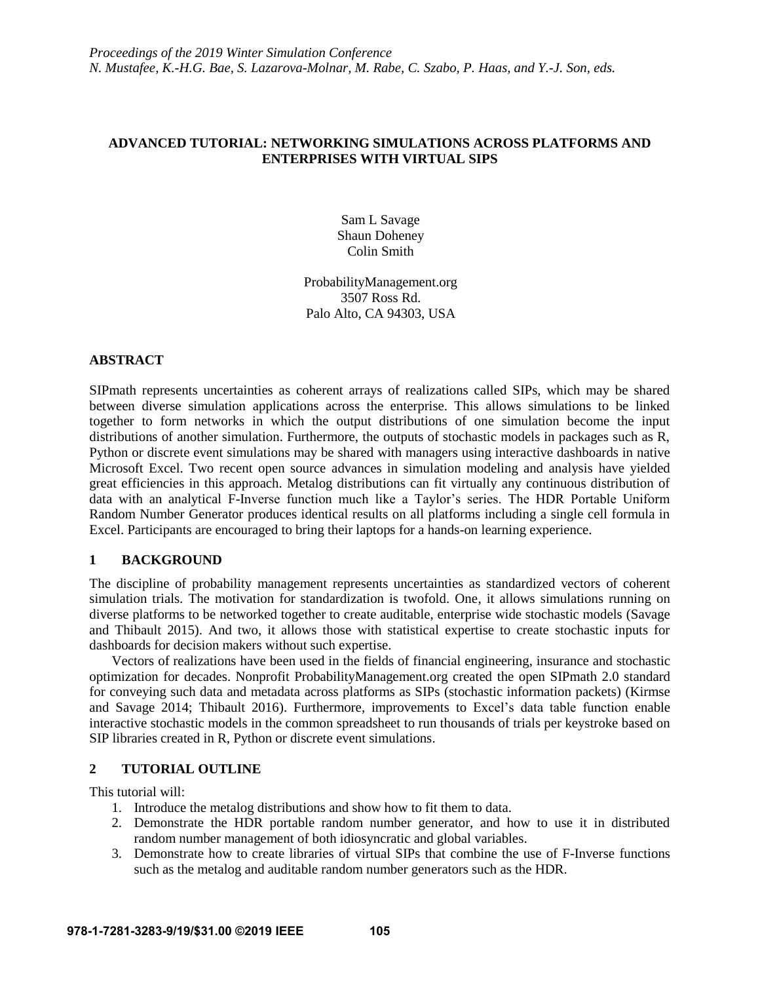## **ADVANCED TUTORIAL: NETWORKING SIMULATIONS ACROSS PLATFORMS AND ENTERPRISES WITH VIRTUAL SIPS**

Sam L Savage Shaun Doheney Colin Smith

ProbabilityManagement.org 3507 Ross Rd. Palo Alto, CA 94303, USA

### **ABSTRACT**

SIPmath represents uncertainties as coherent arrays of realizations called SIPs, which may be shared between diverse simulation applications across the enterprise. This allows simulations to be linked together to form networks in which the output distributions of one simulation become the input distributions of another simulation. Furthermore, the outputs of stochastic models in packages such as R, Python or discrete event simulations may be shared with managers using interactive dashboards in native Microsoft Excel. Two recent open source advances in simulation modeling and analysis have yielded great efficiencies in this approach. Metalog distributions can fit virtually any continuous distribution of data with an analytical F-Inverse function much like a Taylor's series. The HDR Portable Uniform Random Number Generator produces identical results on all platforms including a single cell formula in Excel. Participants are encouraged to bring their laptops for a hands-on learning experience.

## **1 BACKGROUND**

The discipline of probability management represents uncertainties as standardized vectors of coherent simulation trials. The motivation for standardization is twofold. One, it allows simulations running on diverse platforms to be networked together to create auditable, enterprise wide stochastic models (Savage and Thibault 2015). And two, it allows those with statistical expertise to create stochastic inputs for dashboards for decision makers without such expertise.

Vectors of realizations have been used in the fields of financial engineering, insurance and stochastic optimization for decades. Nonprofit ProbabilityManagement.org created the open SIPmath 2.0 standard for conveying such data and metadata across platforms as SIPs (stochastic information packets) (Kirmse and Savage 2014; Thibault 2016). Furthermore, improvements to Excel's data table function enable interactive stochastic models in the common spreadsheet to run thousands of trials per keystroke based on SIP libraries created in R, Python or discrete event simulations.

## **2 TUTORIAL OUTLINE**

This tutorial will:

- 1. Introduce the metalog distributions and show how to fit them to data.
- 2. Demonstrate the HDR portable random number generator, and how to use it in distributed random number management of both idiosyncratic and global variables.
- 3. Demonstrate how to create libraries of virtual SIPs that combine the use of F-Inverse functions such as the metalog and auditable random number generators such as the HDR.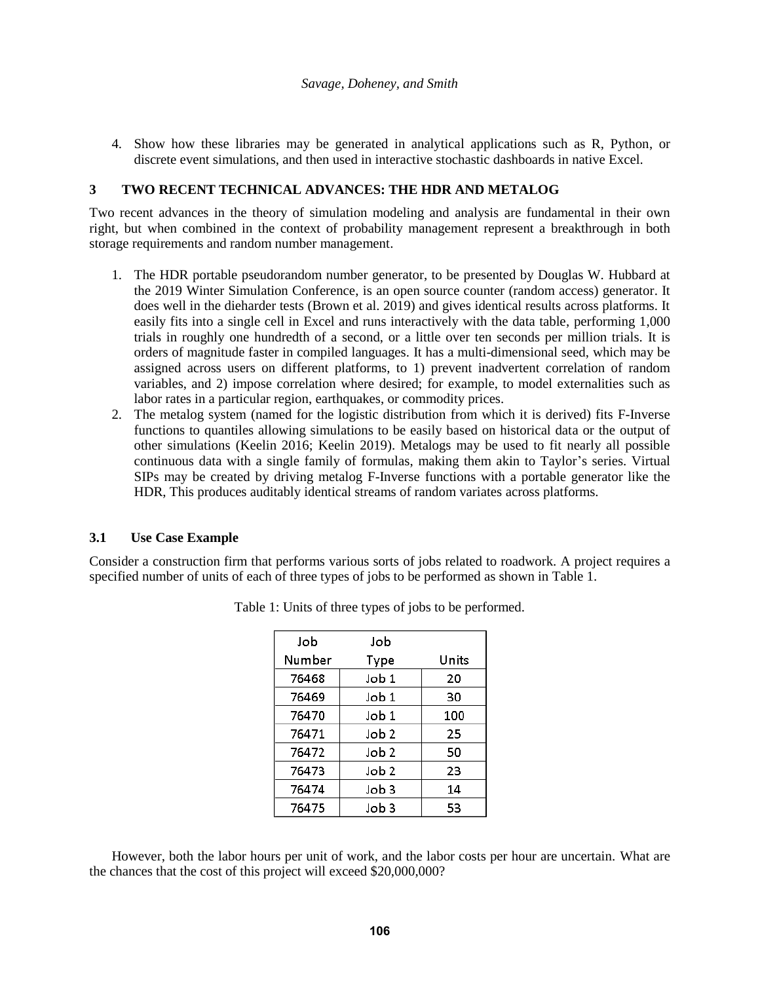4. Show how these libraries may be generated in analytical applications such as R, Python, or discrete event simulations, and then used in interactive stochastic dashboards in native Excel.

## **3 TWO RECENT TECHNICAL ADVANCES: THE HDR AND METALOG**

Two recent advances in the theory of simulation modeling and analysis are fundamental in their own right, but when combined in the context of probability management represent a breakthrough in both storage requirements and random number management.

- 1. The HDR portable pseudorandom number generator, to be presented by Douglas W. Hubbard at the 2019 Winter Simulation Conference, is an open source counter (random access) generator. It does well in the dieharder tests (Brown et al. 2019) and gives identical results across platforms. It easily fits into a single cell in Excel and runs interactively with the data table, performing 1,000 trials in roughly one hundredth of a second, or a little over ten seconds per million trials. It is orders of magnitude faster in compiled languages. It has a multi-dimensional seed, which may be assigned across users on different platforms, to 1) prevent inadvertent correlation of random variables, and 2) impose correlation where desired; for example, to model externalities such as labor rates in a particular region, earthquakes, or commodity prices.
- 2. The metalog system (named for the logistic distribution from which it is derived) fits F-Inverse functions to quantiles allowing simulations to be easily based on historical data or the output of other simulations (Keelin 2016; Keelin 2019). Metalogs may be used to fit nearly all possible continuous data with a single family of formulas, making them akin to Taylor's series. Virtual SIPs may be created by driving metalog F-Inverse functions with a portable generator like the HDR, This produces auditably identical streams of random variates across platforms.

### **3.1 Use Case Example**

Consider a construction firm that performs various sorts of jobs related to roadwork. A project requires a specified number of units of each of three types of jobs to be performed as shown in Table 1.

| Job    | Job              |       |
|--------|------------------|-------|
| Number | Type             | Units |
| 76468  | $J$ ob $1$       | 20    |
| 76469  | Job 1            | 30    |
| 76470  | $J$ ob 1         | 100   |
| 76471  | Job 2            | 25    |
| 76472  | Job <sub>2</sub> | 50    |
| 76473  | Job 2            | 23    |
| 76474  | Job 3            | 14    |
| 76475  | Job 3            | 53    |

Table 1: Units of three types of jobs to be performed.

However, both the labor hours per unit of work, and the labor costs per hour are uncertain. What are the chances that the cost of this project will exceed \$20,000,000?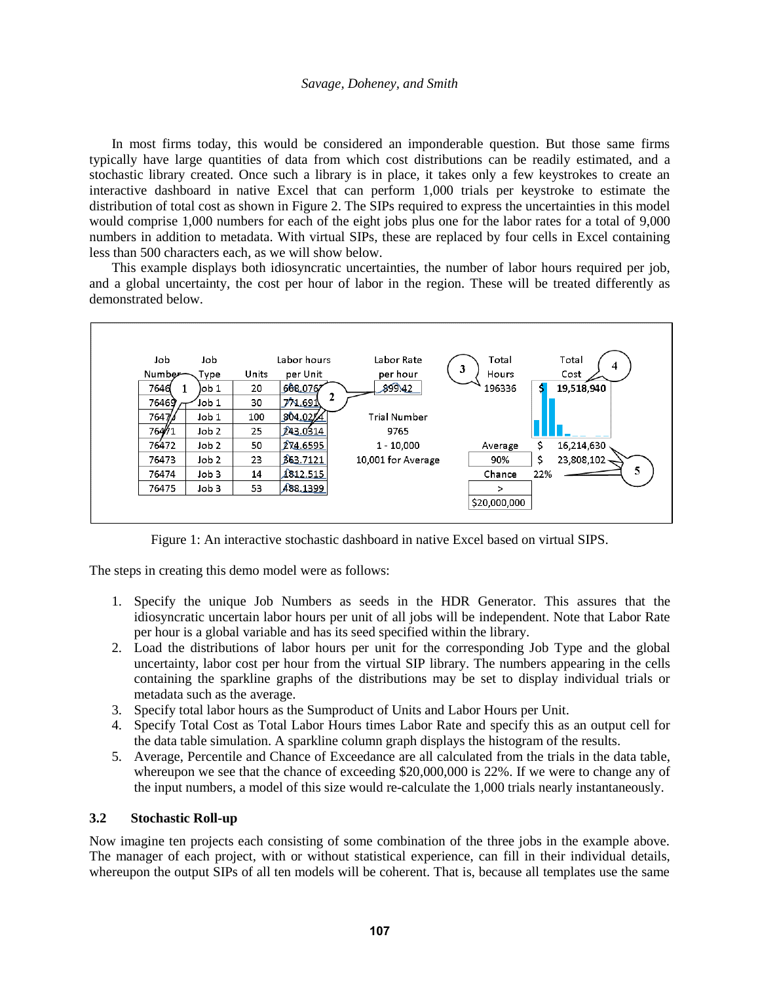### *Savage, Doheney, and Smith*

In most firms today, this would be considered an imponderable question. But those same firms typically have large quantities of data from which cost distributions can be readily estimated, and a stochastic library created. Once such a library is in place, it takes only a few keystrokes to create an interactive dashboard in native Excel that can perform 1,000 trials per keystroke to estimate the distribution of total cost as shown in Figure 2. The SIPs required to express the uncertainties in this model would comprise 1,000 numbers for each of the eight jobs plus one for the labor rates for a total of 9,000 numbers in addition to metadata. With virtual SIPs, these are replaced by four cells in Excel containing less than 500 characters each, as we will show below.

This example displays both idiosyncratic uncertainties, the number of labor hours required per job, and a global uncertainty, the cost per hour of labor in the region. These will be treated differently as demonstrated below.



Figure 1: An interactive stochastic dashboard in native Excel based on virtual SIPS.

The steps in creating this demo model were as follows:

- 1. Specify the unique Job Numbers as seeds in the HDR Generator. This assures that the idiosyncratic uncertain labor hours per unit of all jobs will be independent. Note that Labor Rate per hour is a global variable and has its seed specified within the library.
- 2. Load the distributions of labor hours per unit for the corresponding Job Type and the global uncertainty, labor cost per hour from the virtual SIP library. The numbers appearing in the cells containing the sparkline graphs of the distributions may be set to display individual trials or metadata such as the average.
- 3. Specify total labor hours as the Sumproduct of Units and Labor Hours per Unit.
- 4. Specify Total Cost as Total Labor Hours times Labor Rate and specify this as an output cell for the data table simulation. A sparkline column graph displays the histogram of the results.
- 5. Average, Percentile and Chance of Exceedance are all calculated from the trials in the data table, whereupon we see that the chance of exceeding \$20,000,000 is 22%. If we were to change any of the input numbers, a model of this size would re-calculate the 1,000 trials nearly instantaneously.

### **3.2 Stochastic Roll-up**

Now imagine ten projects each consisting of some combination of the three jobs in the example above. The manager of each project, with or without statistical experience, can fill in their individual details, whereupon the output SIPs of all ten models will be coherent. That is, because all templates use the same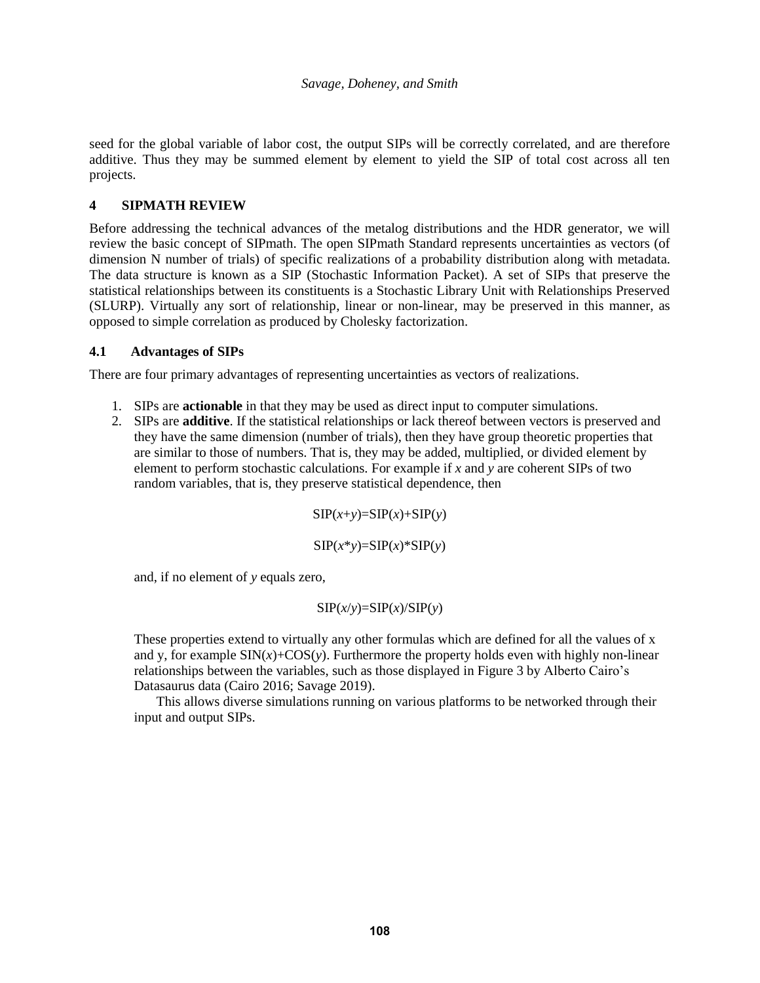seed for the global variable of labor cost, the output SIPs will be correctly correlated, and are therefore additive. Thus they may be summed element by element to yield the SIP of total cost across all ten projects.

# **4 SIPMATH REVIEW**

Before addressing the technical advances of the metalog distributions and the HDR generator, we will review the basic concept of SIPmath. The open SIPmath Standard represents uncertainties as vectors (of dimension N number of trials) of specific realizations of a probability distribution along with metadata. The data structure is known as a SIP (Stochastic Information Packet). A set of SIPs that preserve the statistical relationships between its constituents is a Stochastic Library Unit with Relationships Preserved (SLURP). Virtually any sort of relationship, linear or non-linear, may be preserved in this manner, as opposed to simple correlation as produced by Cholesky factorization.

## **4.1 Advantages of SIPs**

There are four primary advantages of representing uncertainties as vectors of realizations.

- 1. SIPs are **actionable** in that they may be used as direct input to computer simulations.
- 2. SIPs are **additive**. If the statistical relationships or lack thereof between vectors is preserved and they have the same dimension (number of trials), then they have group theoretic properties that are similar to those of numbers. That is, they may be added, multiplied, or divided element by element to perform stochastic calculations. For example if *x* and *y* are coherent SIPs of two random variables, that is, they preserve statistical dependence, then

 $SIP(x+y)=SIP(x)+SIP(y)$ 

 $SIP(x*y)=SIP(x)*SIP(y)$ 

and, if no element of *y* equals zero,

## $SIP(x/y)=SIP(x)/SIP(y)$

These properties extend to virtually any other formulas which are defined for all the values of x and y, for example  $\text{SIN}(x)+\text{COS}(y)$ . Furthermore the property holds even with highly non-linear relationships between the variables, such as those displayed in Figure 3 by Alberto Cairo's Datasaurus data (Cairo 2016; Savage 2019).

This allows diverse simulations running on various platforms to be networked through their input and output SIPs.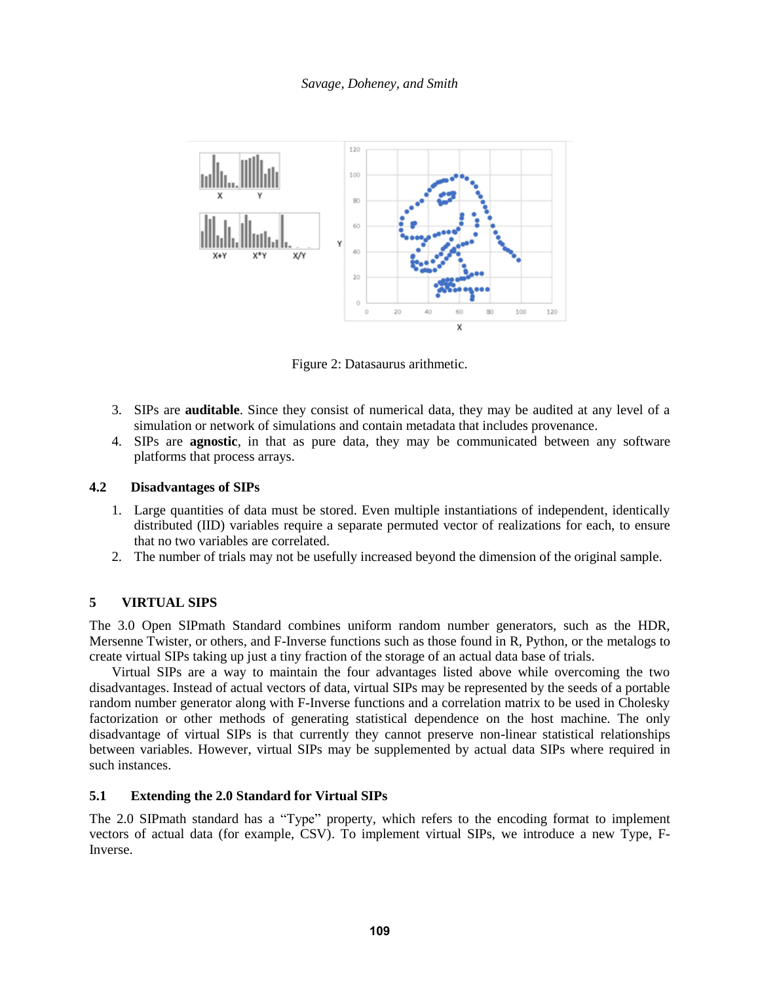*Savage, Doheney, and Smith*



Figure 2: Datasaurus arithmetic.

- 3. SIPs are **auditable**. Since they consist of numerical data, they may be audited at any level of a simulation or network of simulations and contain metadata that includes provenance.
- 4. SIPs are **agnostic**, in that as pure data, they may be communicated between any software platforms that process arrays.

## **4.2 Disadvantages of SIPs**

- 1. Large quantities of data must be stored. Even multiple instantiations of independent, identically distributed (IID) variables require a separate permuted vector of realizations for each, to ensure that no two variables are correlated.
- 2. The number of trials may not be usefully increased beyond the dimension of the original sample.

## **5 VIRTUAL SIPS**

The 3.0 Open SIPmath Standard combines uniform random number generators, such as the HDR, Mersenne Twister, or others, and F-Inverse functions such as those found in R, Python, or the metalogs to create virtual SIPs taking up just a tiny fraction of the storage of an actual data base of trials.

Virtual SIPs are a way to maintain the four advantages listed above while overcoming the two disadvantages. Instead of actual vectors of data, virtual SIPs may be represented by the seeds of a portable random number generator along with F-Inverse functions and a correlation matrix to be used in Cholesky factorization or other methods of generating statistical dependence on the host machine. The only disadvantage of virtual SIPs is that currently they cannot preserve non-linear statistical relationships between variables. However, virtual SIPs may be supplemented by actual data SIPs where required in such instances.

## **5.1 Extending the 2.0 Standard for Virtual SIPs**

The 2.0 SIPmath standard has a "Type" property, which refers to the encoding format to implement vectors of actual data (for example, CSV). To implement virtual SIPs, we introduce a new Type, F-Inverse.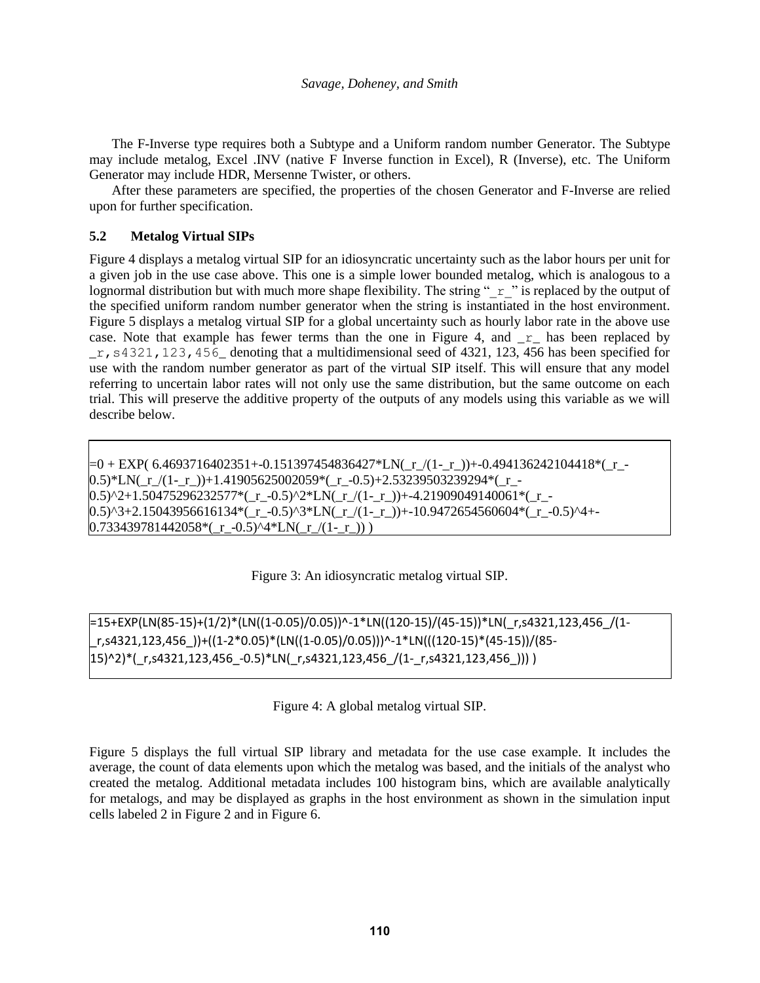The F-Inverse type requires both a Subtype and a Uniform random number Generator. The Subtype may include metalog, Excel .INV (native F Inverse function in Excel), R (Inverse), etc. The Uniform Generator may include HDR, Mersenne Twister, or others.

After these parameters are specified, the properties of the chosen Generator and F-Inverse are relied upon for further specification.

## **5.2 Metalog Virtual SIPs**

Figure 4 displays a metalog virtual SIP for an idiosyncratic uncertainty such as the labor hours per unit for a given job in the use case above. This one is a simple lower bounded metalog, which is analogous to a lognormal distribution but with much more shape flexibility. The string " $r$ " is replaced by the output of the specified uniform random number generator when the string is instantiated in the host environment. Figure 5 displays a metalog virtual SIP for a global uncertainty such as hourly labor rate in the above use case. Note that example has fewer terms than the one in Figure 4, and  $r$  has been replaced by  $r$ , s4321, 123, 456 denoting that a multidimensional seed of 4321, 123, 456 has been specified for use with the random number generator as part of the virtual SIP itself. This will ensure that any model referring to uncertain labor rates will not only use the same distribution, but the same outcome on each trial. This will preserve the additive property of the outputs of any models using this variable as we will describe below.

 $=0 + EXP($  6.4693716402351+-0.151397454836427\*LN( $r/(1-r)/(1-r)$ )+-0.494136242104418\*( $r (0.5)^*LN(r/(1-r)) + 1.41905625002059*(r-0.5) + 2.53239503239294*(r-1)$  $0.5)$ ^2+1.50475296232577\*(\_r\_-0.5)^2\*LN(\_r\_/(1-\_r\_))+-4.21909049140061\*(\_r\_- $0.5)$ ^3+2.15043956616134\*(\_r\_-0.5)^3\*LN(\_r\_/(1-\_r\_))+-10.9472654560604\*(\_r\_-0.5)^4+- $0.733439781442058*(r - 0.5)$ ^4\*LN( $r/(1-r))$ )

### Figure 3: An idiosyncratic metalog virtual SIP.

=15+EXP(LN(85-15)+(1/2)\*(LN((1-0.05)/0.05))^-1\*LN((120-15)/(45-15))\*LN(\_r,s4321,123,456\_/(1- \_r,s4321,123,456\_))+((1-2\*0.05)\*(LN((1-0.05)/0.05)))^-1\*LN(((120-15)\*(45-15))/(85-  $(15)^{2*}$ (r,s4321,123,456 -0.5)\*LN(r,s4321,123,456 /(1-r,s4321,123,456 ))) )

Figure 4: A global metalog virtual SIP.

Figure 5 displays the full virtual SIP library and metadata for the use case example. It includes the average, the count of data elements upon which the metalog was based, and the initials of the analyst who created the metalog. Additional metadata includes 100 histogram bins, which are available analytically for metalogs, and may be displayed as graphs in the host environment as shown in the simulation input cells labeled 2 in Figure 2 and in Figure 6.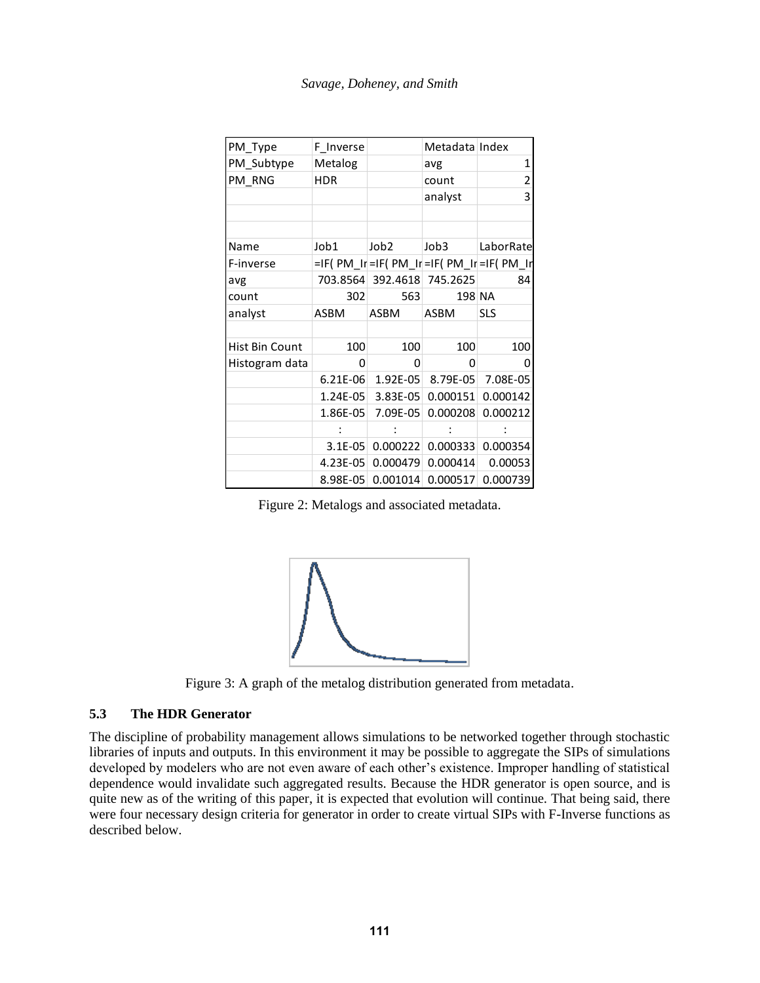|  | Savage, Doheney, and Smith |  |  |
|--|----------------------------|--|--|
|--|----------------------------|--|--|

| PM_Type            | F_Inverse                                           |             | Metadata Index                       |           |
|--------------------|-----------------------------------------------------|-------------|--------------------------------------|-----------|
| PM_Subtype Metalog |                                                     |             | avg                                  |           |
| PM_RNG             | <b>HDR</b>                                          |             | count                                |           |
|                    |                                                     |             | analyst                              |           |
|                    |                                                     |             |                                      |           |
|                    |                                                     |             |                                      |           |
| Name               | Job1                                                | Job2        | Job3                                 | LaborRate |
| F-inverse          | $=$ IF(PM_Ir $=$ IF(PM_Ir $=$ IF(PM_Ir $=$ IF(PM_Ir |             |                                      |           |
| avg                | 703.8564 392.4618 745.2625                          |             |                                      | 84 I      |
| count              | 302                                                 | 563         | 198 NA                               |           |
| analyst            | ASBM                                                | <b>ASBM</b> | ASBM SLS                             |           |
|                    |                                                     |             |                                      |           |
| Hist Bin Count     | 100                                                 | 100         | 100                                  | 100       |
| Histogram data     |                                                     |             |                                      |           |
|                    | 6.21E-06 1.92E-05 8.79E-05 7.08E-05                 |             |                                      |           |
|                    | $\vert$ 1.24E-05 3.83E-05 0.000151 0.000142         |             |                                      |           |
|                    | $1.86E-05$ 7.09E-05 0.000208 0.000212               |             |                                      |           |
|                    |                                                     |             |                                      |           |
|                    |                                                     |             | $3.1E-05$ 0.000222 0.000333 0.000354 |           |
|                    | $\vert$ 4.23E-05 0.000479 0.000414 0.00053          |             |                                      |           |
|                    | $ 8.98E-05 0.001014 0.000517 0.000739 $             |             |                                      |           |

Figure 2: Metalogs and associated metadata.



Figure 3: A graph of the metalog distribution generated from metadata.

## **5.3 The HDR Generator**

The discipline of probability management allows simulations to be networked together through stochastic libraries of inputs and outputs. In this environment it may be possible to aggregate the SIPs of simulations developed by modelers who are not even aware of each other's existence. Improper handling of statistical dependence would invalidate such aggregated results. Because the HDR generator is open source, and is quite new as of the writing of this paper, it is expected that evolution will continue. That being said, there were four necessary design criteria for generator in order to create virtual SIPs with F-Inverse functions as described below.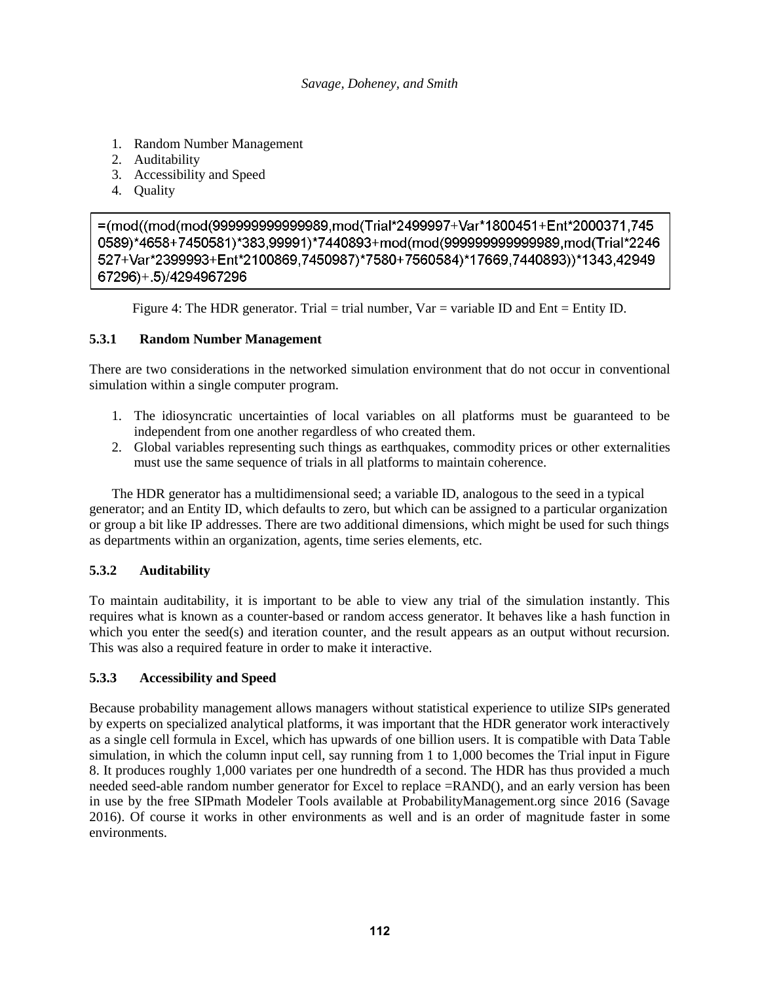- 1. Random Number Management
- 2. Auditability
- 3. Accessibility and Speed
- 4. Quality

=(mod((mod(mod(999999999999989,mod(Trial\*2499997+Var\*1800451+Ent\*2000371,745 0589)\*4658+7450581)\*383.99991)\*7440893+mod(mod(999999999999989.mod(Trial\*2246 527+Var\*2399993+Ent\*2100869,7450987)\*7580+7560584)\*17669,7440893))\*1343,42949 67296)+.5)/4294967296

Figure 4: The HDR generator. Trial = trial number,  $Var = \text{variable ID}$  and  $Ent = \text{Entity ID}$ .

## **5.3.1 Random Number Management**

There are two considerations in the networked simulation environment that do not occur in conventional simulation within a single computer program.

- 1. The idiosyncratic uncertainties of local variables on all platforms must be guaranteed to be independent from one another regardless of who created them.
- 2. Global variables representing such things as earthquakes, commodity prices or other externalities must use the same sequence of trials in all platforms to maintain coherence.

The HDR generator has a multidimensional seed; a variable ID, analogous to the seed in a typical generator; and an Entity ID, which defaults to zero, but which can be assigned to a particular organization or group a bit like IP addresses. There are two additional dimensions, which might be used for such things as departments within an organization, agents, time series elements, etc.

# **5.3.2 Auditability**

To maintain auditability, it is important to be able to view any trial of the simulation instantly. This requires what is known as a counter-based or random access generator. It behaves like a hash function in which you enter the seed(s) and iteration counter, and the result appears as an output without recursion. This was also a required feature in order to make it interactive.

# **5.3.3 Accessibility and Speed**

Because probability management allows managers without statistical experience to utilize SIPs generated by experts on specialized analytical platforms, it was important that the HDR generator work interactively as a single cell formula in Excel, which has upwards of one billion users. It is compatible with Data Table simulation, in which the column input cell, say running from 1 to 1,000 becomes the Trial input in Figure 8. It produces roughly 1,000 variates per one hundredth of a second. The HDR has thus provided a much needed seed-able random number generator for Excel to replace =RAND(), and an early version has been in use by the free SIPmath Modeler Tools available at ProbabilityManagement.org since 2016 (Savage 2016). Of course it works in other environments as well and is an order of magnitude faster in some environments.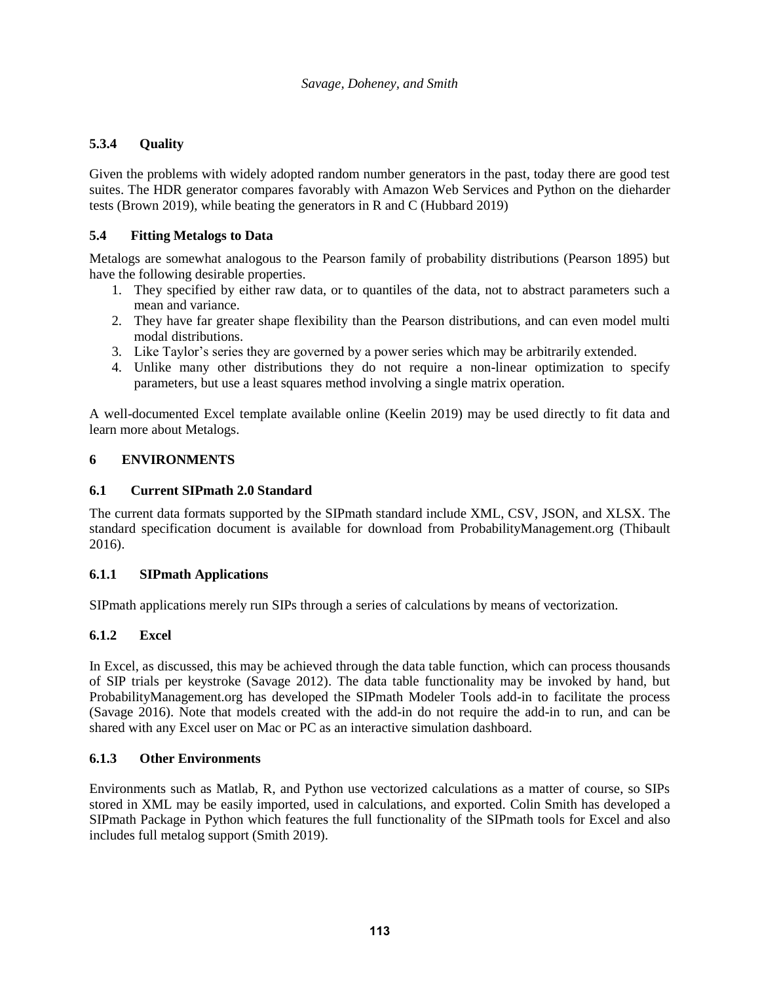# **5.3.4 Quality**

Given the problems with widely adopted random number generators in the past, today there are good test suites. The HDR generator compares favorably with Amazon Web Services and Python on the dieharder tests (Brown 2019), while beating the generators in R and C (Hubbard 2019)

# **5.4 Fitting Metalogs to Data**

Metalogs are somewhat analogous to the Pearson family of probability distributions (Pearson 1895) but have the following desirable properties.

- 1. They specified by either raw data, or to quantiles of the data, not to abstract parameters such a mean and variance.
- 2. They have far greater shape flexibility than the Pearson distributions, and can even model multi modal distributions.
- 3. Like Taylor's series they are governed by a power series which may be arbitrarily extended.
- 4. Unlike many other distributions they do not require a non-linear optimization to specify parameters, but use a least squares method involving a single matrix operation.

A well-documented Excel template available online (Keelin 2019) may be used directly to fit data and learn more about Metalogs.

## **6 ENVIRONMENTS**

## **6.1 Current SIPmath 2.0 Standard**

The current data formats supported by the SIPmath standard include XML, CSV, JSON, and XLSX. The standard specification document is available for download from ProbabilityManagement.org (Thibault 2016).

## **6.1.1 SIPmath Applications**

SIPmath applications merely run SIPs through a series of calculations by means of vectorization.

## **6.1.2 Excel**

In Excel, as discussed, this may be achieved through the data table function, which can process thousands of SIP trials per keystroke (Savage 2012). The data table functionality may be invoked by hand, but ProbabilityManagement.org has developed the SIPmath Modeler Tools add-in to facilitate the process (Savage 2016). Note that models created with the add-in do not require the add-in to run, and can be shared with any Excel user on Mac or PC as an interactive simulation dashboard.

## **6.1.3 Other Environments**

Environments such as Matlab, R, and Python use vectorized calculations as a matter of course, so SIPs stored in XML may be easily imported, used in calculations, and exported. Colin Smith has developed a SIPmath Package in Python which features the full functionality of the SIPmath tools for Excel and also includes full metalog support (Smith 2019).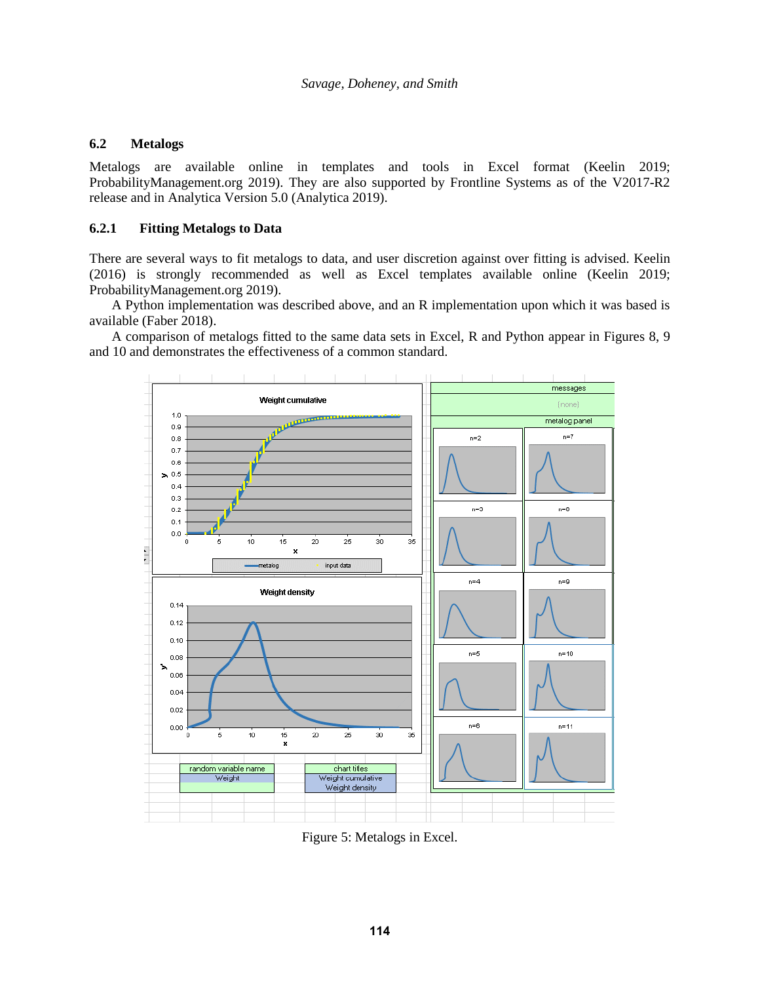## **6.2 Metalogs**

Metalogs are available online in templates and tools in Excel format (Keelin 2019; ProbabilityManagement.org 2019). They are also supported by Frontline Systems as of the V2017-R2 release and in Analytica Version 5.0 (Analytica 2019).

## **6.2.1 Fitting Metalogs to Data**

There are several ways to fit metalogs to data, and user discretion against over fitting is advised. Keelin (2016) is strongly recommended as well as Excel templates available online (Keelin 2019; ProbabilityManagement.org 2019).

A Python implementation was described above, and an R implementation upon which it was based is available (Faber 2018).

A comparison of metalogs fitted to the same data sets in Excel, R and Python appear in Figures 8, 9 and 10 and demonstrates the effectiveness of a common standard.



Figure 5: Metalogs in Excel.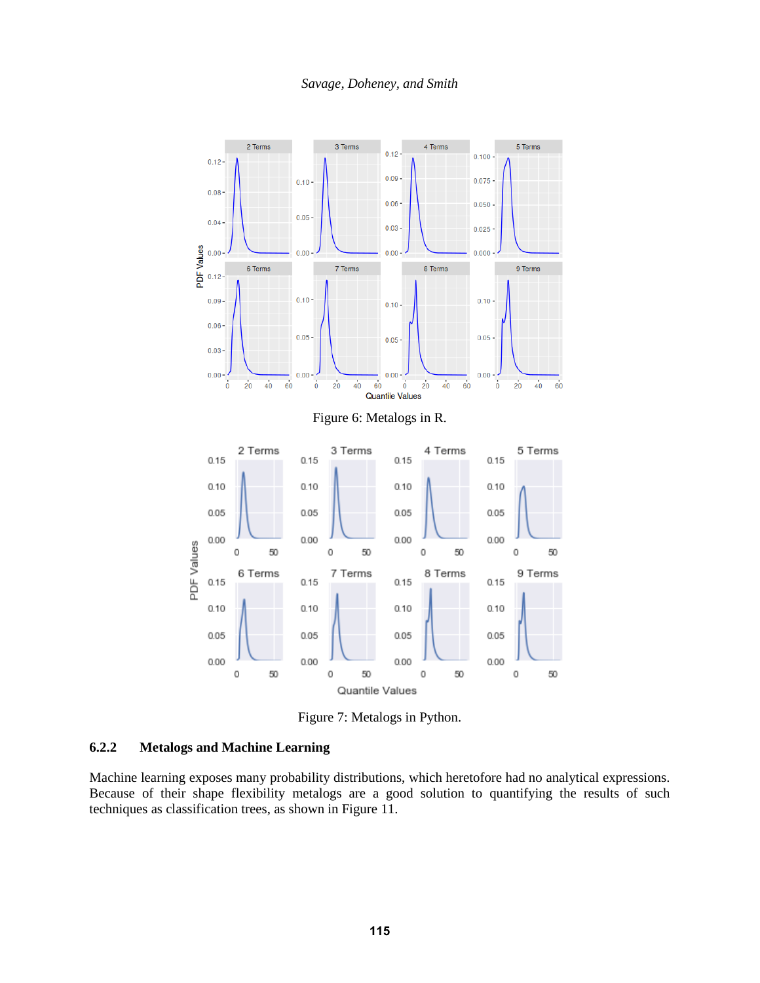

Figure 7: Metalogs in Python.

# **6.2.2 Metalogs and Machine Learning**

Machine learning exposes many probability distributions, which heretofore had no analytical expressions. Because of their shape flexibility metalogs are a good solution to quantifying the results of such techniques as classification trees, as shown in Figure 11.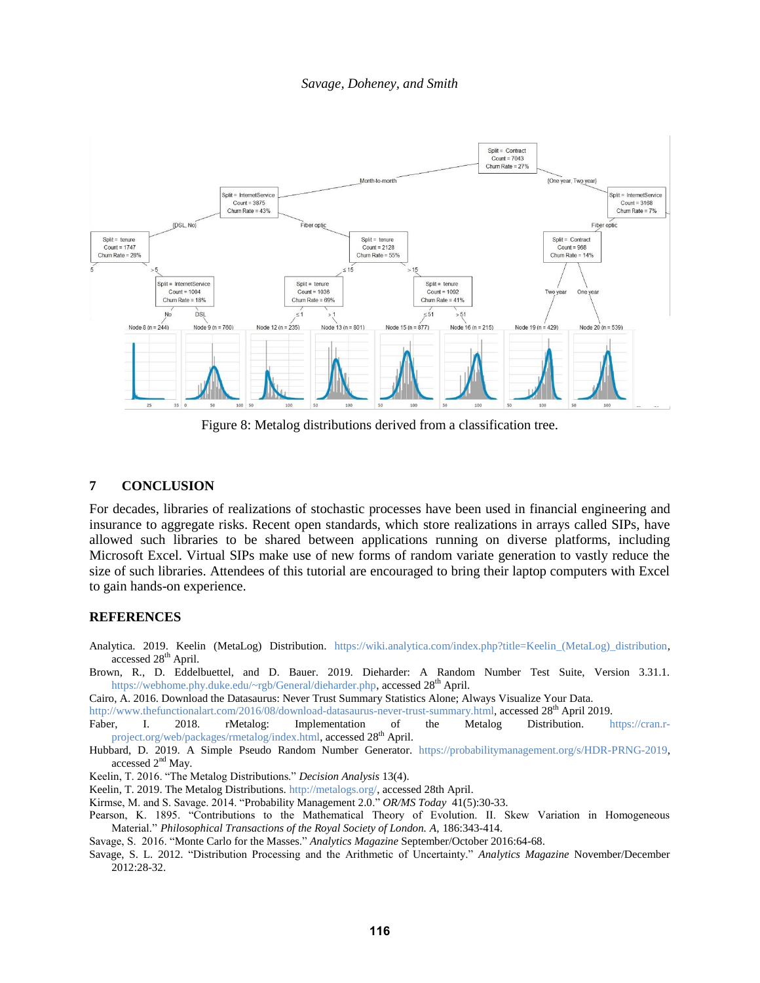#### *Savage, Doheney, and Smith*



Figure 8: Metalog distributions derived from a classification tree.

## **7 CONCLUSION**

For decades, libraries of realizations of stochastic processes have been used in financial engineering and insurance to aggregate risks. Recent open standards, which store realizations in arrays called SIPs, have allowed such libraries to be shared between applications running on diverse platforms, including Microsoft Excel. Virtual SIPs make use of new forms of random variate generation to vastly reduce the size of such libraries. Attendees of this tutorial are encouraged to bring their laptop computers with Excel to gain hands-on experience.

#### **REFERENCES**

- Analytica. 2019. Keelin (MetaLog) Distribution. [https://wiki.analytica.com/index.php?title=Keelin\\_\(MetaLog\)\\_distribution,](https://wiki.analytica.com/index.php?title=Keelin_(MetaLog)_distribution) accessed 28<sup>th</sup> April.
- Brown, R., D. Eddelbuettel, and D. Bauer. 2019. Dieharder: A Random Number Test Suite, Version 3.31.1. [https://webhome.phy.duke.edu/~rgb/General/dieharder.php,](https://webhome.phy.duke.edu/~rgb/General/dieharder.php) accessed 28<sup>th</sup> April.
- Cairo, A. 2016. Download the Datasaurus: Never Trust Summary Statistics Alone; Always Visualize Your Data.

[http://www.thefunctionalart.com/2016/08/download-datasaurus-never-trust-summary.html,](http://www.thefunctionalart.com/2016/08/download-datasaurus-never-trust-summary.html) accessed 28<sup>th</sup> April 2019.

Faber, I. 2018. rMetalog: Implementation of the Metalog Distribution. [https://cran.r](https://cran.r-project.org/web/packages/rmetalog/index.html)[project.org/web/packages/rmetalog/index.html,](https://cran.r-project.org/web/packages/rmetalog/index.html) accessed 28<sup>th</sup> April.

Hubbard, D. 2019. A Simple Pseudo Random Number Generator. [https://probabilitymanagement.org/s/HDR-PRNG-2019,](https://probabilitymanagement.org/s/HDR-PRNG-2019) accessed  $2<sup>nd</sup>$  May.

Keelin, T. 2016. "The Metalog Distributions." *Decision Analysis* 13(4).

Keelin, T. 2019. The Metalog Distributions. [http://metalogs.org/,](http://metalogs.org/) accessed 28th April.

Kirmse, M. and S. Savage. 2014. "Probability Management 2.0." *OR/MS Today* 41(5):30-33.

- Pearson, K. 1895. "Contributions to the Mathematical Theory of Evolution. II. Skew Variation in Homogeneous Material." *Philosophical Transactions of the Royal Society of London. A*, 186:343-414.
- Savage, S. 2016. "Monte Carlo for the Masses." *Analytics Magazine* September/October 2016:64-68.
- Savage, S. L. 2012. "Distribution Processing and the Arithmetic of Uncertainty." *Analytics Magazine* November/December 2012:28-32.